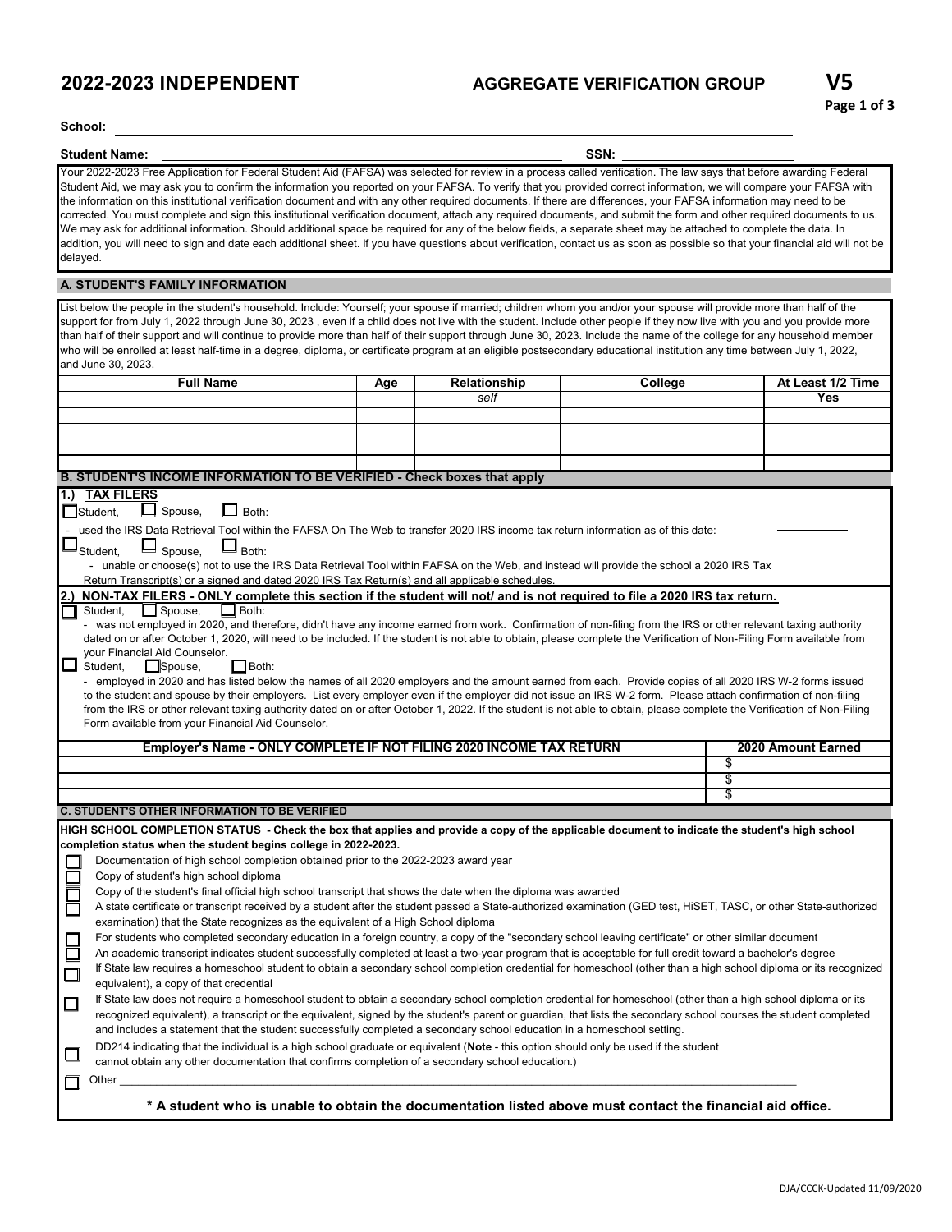#### **2022-2023 INDEPENDENT AGGREGATE VERIFICATION GROUP**

**School:**

**Student Name: SSN:**

Your 2022-2023 Free Application for Federal Student Aid (FAFSA) was selected for review in a process called verification. The law says that before awarding Federal Student Aid, we may ask you to confirm the information you reported on your FAFSA. To verify that you provided correct information, we will compare your FAFSA with the information on this institutional verification document and with any other required documents. If there are differences, your FAFSA information may need to be corrected. You must complete and sign this institutional verification document, attach any required documents, and submit the form and other required documents to us. We may ask for additional information. Should additional space be required for any of the below fields, a separate sheet may be attached to complete the data. In addition, you will need to sign and date each additional sheet. If you have questions about verification, contact us as soon as possible so that your financial aid will not be delayed.

#### **A. STUDENT'S FAMILY INFORMATION**

List below the people in the student's household. Include: Yourself; your spouse if married; children whom you and/or your spouse will provide more than half of the support for from July 1, 2022 through June 30, 2023, even if a child does not live with the student. Include other people if they now live with you and you provide more than half of their support and will continue to provide more than half of their support through June 30, 2023. Include the name of the college for any household member who will be enrolled at least half-time in a degree, diploma, or certificate program at an eligible postsecondary educational institution any time between July 1, 2022, and June 30, 2023.

| $\cdots$ vance ov, 2020.                                                                                                                                                   |                                                                                                                                                          |              |         |                    |  |  |  |
|----------------------------------------------------------------------------------------------------------------------------------------------------------------------------|----------------------------------------------------------------------------------------------------------------------------------------------------------|--------------|---------|--------------------|--|--|--|
| <b>Full Name</b>                                                                                                                                                           | Age                                                                                                                                                      | Relationship | College | At Least 1/2 Time  |  |  |  |
|                                                                                                                                                                            |                                                                                                                                                          | self         |         | Yes                |  |  |  |
|                                                                                                                                                                            |                                                                                                                                                          |              |         |                    |  |  |  |
|                                                                                                                                                                            |                                                                                                                                                          |              |         |                    |  |  |  |
|                                                                                                                                                                            |                                                                                                                                                          |              |         |                    |  |  |  |
|                                                                                                                                                                            |                                                                                                                                                          |              |         |                    |  |  |  |
| B. STUDENT'S INCOME INFORMATION TO BE VERIFIED - Check boxes that apply                                                                                                    |                                                                                                                                                          |              |         |                    |  |  |  |
| <b>TAX FILERS</b>                                                                                                                                                          |                                                                                                                                                          |              |         |                    |  |  |  |
| 1.)                                                                                                                                                                        |                                                                                                                                                          |              |         |                    |  |  |  |
| $\Box$ Both:<br>$\Box$ Spouse,<br>Student.                                                                                                                                 |                                                                                                                                                          |              |         |                    |  |  |  |
| used the IRS Data Retrieval Tool within the FAFSA On The Web to transfer 2020 IRS income tax return information as of this date:                                           |                                                                                                                                                          |              |         |                    |  |  |  |
| $\overline{\phantom{a}}$<br>$\square_{\mathsf{Both}:}$<br>Spouse,<br>Student,                                                                                              |                                                                                                                                                          |              |         |                    |  |  |  |
| - unable or choose(s) not to use the IRS Data Retrieval Tool within FAFSA on the Web, and instead will provide the school a 2020 IRS Tax                                   |                                                                                                                                                          |              |         |                    |  |  |  |
| Return Transcript(s) or a signed and dated 2020 IRS Tax Return(s) and all applicable schedules.                                                                            |                                                                                                                                                          |              |         |                    |  |  |  |
| NON-TAX FILERS - ONLY complete this section if the student will not/ and is not required to file a 2020 IRS tax return.                                                    |                                                                                                                                                          |              |         |                    |  |  |  |
| Student.<br>$\Box$ Spouse,<br>$\Box$ Both:                                                                                                                                 |                                                                                                                                                          |              |         |                    |  |  |  |
| - was not employed in 2020, and therefore, didn't have any income earned from work. Confirmation of non-filing from the IRS or other relevant taxing authority             |                                                                                                                                                          |              |         |                    |  |  |  |
| dated on or after October 1, 2020, will need to be included. If the student is not able to obtain, please complete the Verification of Non-Filing Form available from      |                                                                                                                                                          |              |         |                    |  |  |  |
| your Financial Aid Counselor.                                                                                                                                              |                                                                                                                                                          |              |         |                    |  |  |  |
| ப<br>Student,<br>Spouse,<br>$\mathsf{L}$ Both:                                                                                                                             |                                                                                                                                                          |              |         |                    |  |  |  |
|                                                                                                                                                                            | - employed in 2020 and has listed below the names of all 2020 employers and the amount earned from each. Provide copies of all 2020 IRS W-2 forms issued |              |         |                    |  |  |  |
| to the student and spouse by their employers. List every employer even if the employer did not issue an IRS W-2 form. Please attach confirmation of non-filing             |                                                                                                                                                          |              |         |                    |  |  |  |
| from the IRS or other relevant taxing authority dated on or after October 1, 2022. If the student is not able to obtain, please complete the Verification of Non-Filing    |                                                                                                                                                          |              |         |                    |  |  |  |
| Form available from your Financial Aid Counselor.                                                                                                                          |                                                                                                                                                          |              |         |                    |  |  |  |
|                                                                                                                                                                            |                                                                                                                                                          |              |         |                    |  |  |  |
| Employer's Name - ONLY COMPLETE IF NOT FILING 2020 INCOME TAX RETURN                                                                                                       |                                                                                                                                                          |              |         | 2020 Amount Earned |  |  |  |
|                                                                                                                                                                            |                                                                                                                                                          |              |         | \$                 |  |  |  |
|                                                                                                                                                                            |                                                                                                                                                          |              |         | \$                 |  |  |  |
|                                                                                                                                                                            |                                                                                                                                                          |              |         | S                  |  |  |  |
| <b>C. STUDENT'S OTHER INFORMATION TO BE VERIFIED</b>                                                                                                                       |                                                                                                                                                          |              |         |                    |  |  |  |
|                                                                                                                                                                            |                                                                                                                                                          |              |         |                    |  |  |  |
| HIGH SCHOOL COMPLETION STATUS - Check the box that applies and provide a copy of the applicable document to indicate the student's high school                             |                                                                                                                                                          |              |         |                    |  |  |  |
| completion status when the student begins college in 2022-2023.                                                                                                            |                                                                                                                                                          |              |         |                    |  |  |  |
| Documentation of high school completion obtained prior to the 2022-2023 award year                                                                                         |                                                                                                                                                          |              |         |                    |  |  |  |
| Copy of student's high school diploma                                                                                                                                      |                                                                                                                                                          |              |         |                    |  |  |  |
| Copy of the student's final official high school transcript that shows the date when the diploma was awarded                                                               |                                                                                                                                                          |              |         |                    |  |  |  |
| E<br>A state certificate or transcript received by a student after the student passed a State-authorized examination (GED test, HiSET, TASC, or other State-authorized     |                                                                                                                                                          |              |         |                    |  |  |  |
| examination) that the State recognizes as the equivalent of a High School diploma                                                                                          |                                                                                                                                                          |              |         |                    |  |  |  |
| For students who completed secondary education in a foreign country, a copy of the "secondary school leaving certificate" or other similar document                        |                                                                                                                                                          |              |         |                    |  |  |  |
| $\Box$<br>An academic transcript indicates student successfully completed at least a two-year program that is acceptable for full credit toward a bachelor's degree        |                                                                                                                                                          |              |         |                    |  |  |  |
| If State law requires a homeschool student to obtain a secondary school completion credential for homeschool (other than a high school diploma or its recognized<br>$\Box$ |                                                                                                                                                          |              |         |                    |  |  |  |
| equivalent), a copy of that credential                                                                                                                                     |                                                                                                                                                          |              |         |                    |  |  |  |
| If State law does not require a homeschool student to obtain a secondary school completion credential for homeschool (other than a high school diploma or its<br>$\Box$    |                                                                                                                                                          |              |         |                    |  |  |  |
| recognized equivalent), a transcript or the equivalent, signed by the student's parent or guardian, that lists the secondary school courses the student completed          |                                                                                                                                                          |              |         |                    |  |  |  |
| and includes a statement that the student successfully completed a secondary school education in a homeschool setting.                                                     |                                                                                                                                                          |              |         |                    |  |  |  |
| DD214 indicating that the individual is a high school graduate or equivalent (Note - this option should only be used if the student                                        |                                                                                                                                                          |              |         |                    |  |  |  |
| □<br>cannot obtain any other documentation that confirms completion of a secondary school education.)                                                                      |                                                                                                                                                          |              |         |                    |  |  |  |
| Other                                                                                                                                                                      |                                                                                                                                                          |              |         |                    |  |  |  |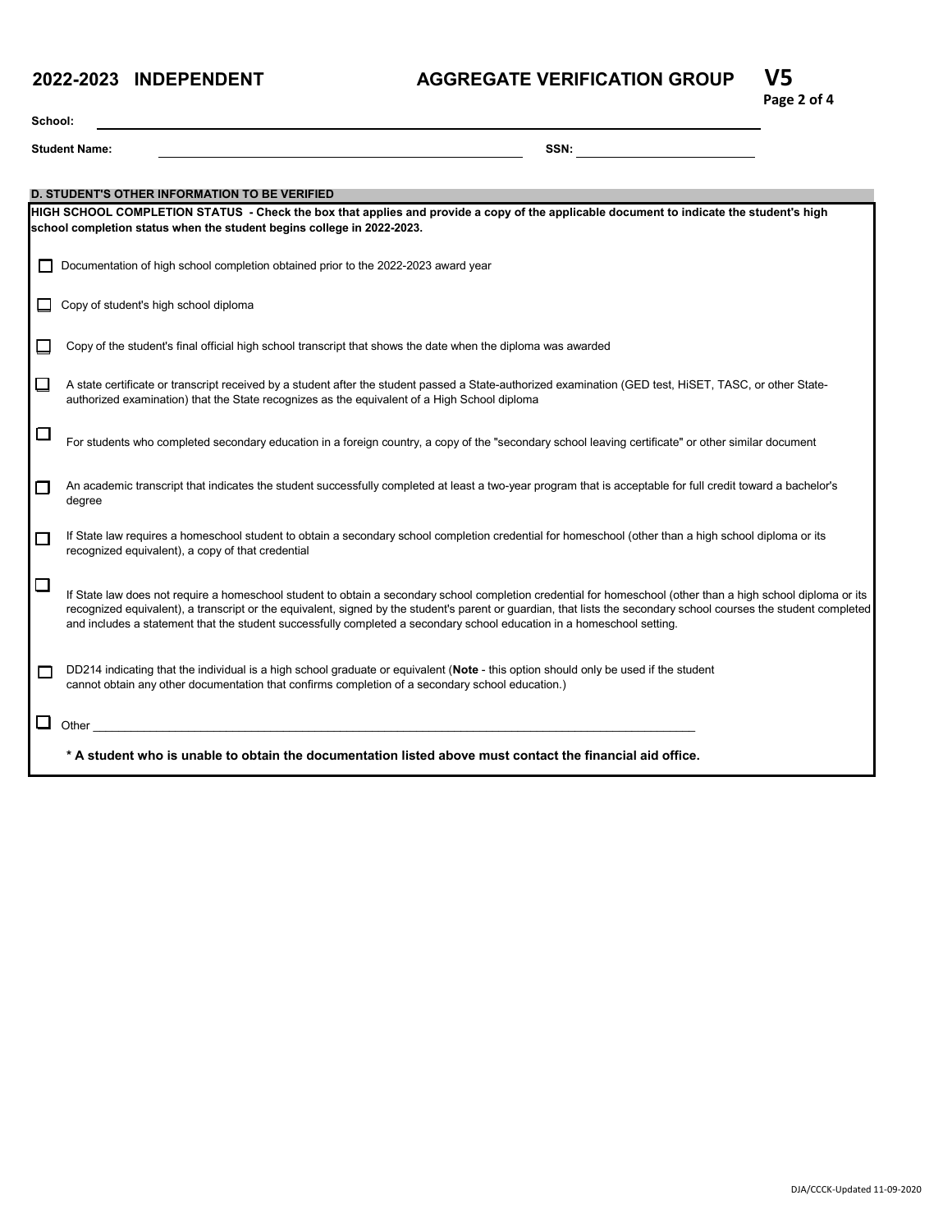#### **2022-2023 INDEPENDENT**

## **AGGREGATE VERIFICATION GROUP V5**



| School: |                                                                                                                                                                                                                                                         |  |  |  |  |
|---------|---------------------------------------------------------------------------------------------------------------------------------------------------------------------------------------------------------------------------------------------------------|--|--|--|--|
|         | <b>Student Name:</b><br>SSN:                                                                                                                                                                                                                            |  |  |  |  |
|         |                                                                                                                                                                                                                                                         |  |  |  |  |
|         | <b>D. STUDENT'S OTHER INFORMATION TO BE VERIFIED</b>                                                                                                                                                                                                    |  |  |  |  |
|         | HIGH SCHOOL COMPLETION STATUS - Check the box that applies and provide a copy of the applicable document to indicate the student's high<br>school completion status when the student begins college in 2022-2023.                                       |  |  |  |  |
|         |                                                                                                                                                                                                                                                         |  |  |  |  |
| П       | Documentation of high school completion obtained prior to the 2022-2023 award year                                                                                                                                                                      |  |  |  |  |
|         | Copy of student's high school diploma                                                                                                                                                                                                                   |  |  |  |  |
|         |                                                                                                                                                                                                                                                         |  |  |  |  |
|         | Copy of the student's final official high school transcript that shows the date when the diploma was awarded                                                                                                                                            |  |  |  |  |
|         |                                                                                                                                                                                                                                                         |  |  |  |  |
| ப       | A state certificate or transcript received by a student after the student passed a State-authorized examination (GED test, HiSET, TASC, or other State-<br>authorized examination) that the State recognizes as the equivalent of a High School diploma |  |  |  |  |
|         |                                                                                                                                                                                                                                                         |  |  |  |  |
| $\Box$  | For students who completed secondary education in a foreign country, a copy of the "secondary school leaving certificate" or other similar document                                                                                                     |  |  |  |  |
|         |                                                                                                                                                                                                                                                         |  |  |  |  |
| $\Box$  | An academic transcript that indicates the student successfully completed at least a two-year program that is acceptable for full credit toward a bachelor's                                                                                             |  |  |  |  |
|         | degree                                                                                                                                                                                                                                                  |  |  |  |  |
| $\Box$  | If State law requires a homeschool student to obtain a secondary school completion credential for homeschool (other than a high school diploma or its                                                                                                   |  |  |  |  |
|         | recognized equivalent), a copy of that credential                                                                                                                                                                                                       |  |  |  |  |
| $\Box$  | If State law does not require a homeschool student to obtain a secondary school completion credential for homeschool (other than a high school diploma or its                                                                                           |  |  |  |  |
|         | recognized equivalent), a transcript or the equivalent, signed by the student's parent or quardian, that lists the secondary school courses the student completed                                                                                       |  |  |  |  |
|         | and includes a statement that the student successfully completed a secondary school education in a homeschool setting.                                                                                                                                  |  |  |  |  |
| г       | DD214 indicating that the individual is a high school graduate or equivalent (Note - this option should only be used if the student                                                                                                                     |  |  |  |  |
|         | cannot obtain any other documentation that confirms completion of a secondary school education.)                                                                                                                                                        |  |  |  |  |
|         |                                                                                                                                                                                                                                                         |  |  |  |  |
|         | Other                                                                                                                                                                                                                                                   |  |  |  |  |
|         | * A student who is unable to obtain the documentation listed above must contact the financial aid office.                                                                                                                                               |  |  |  |  |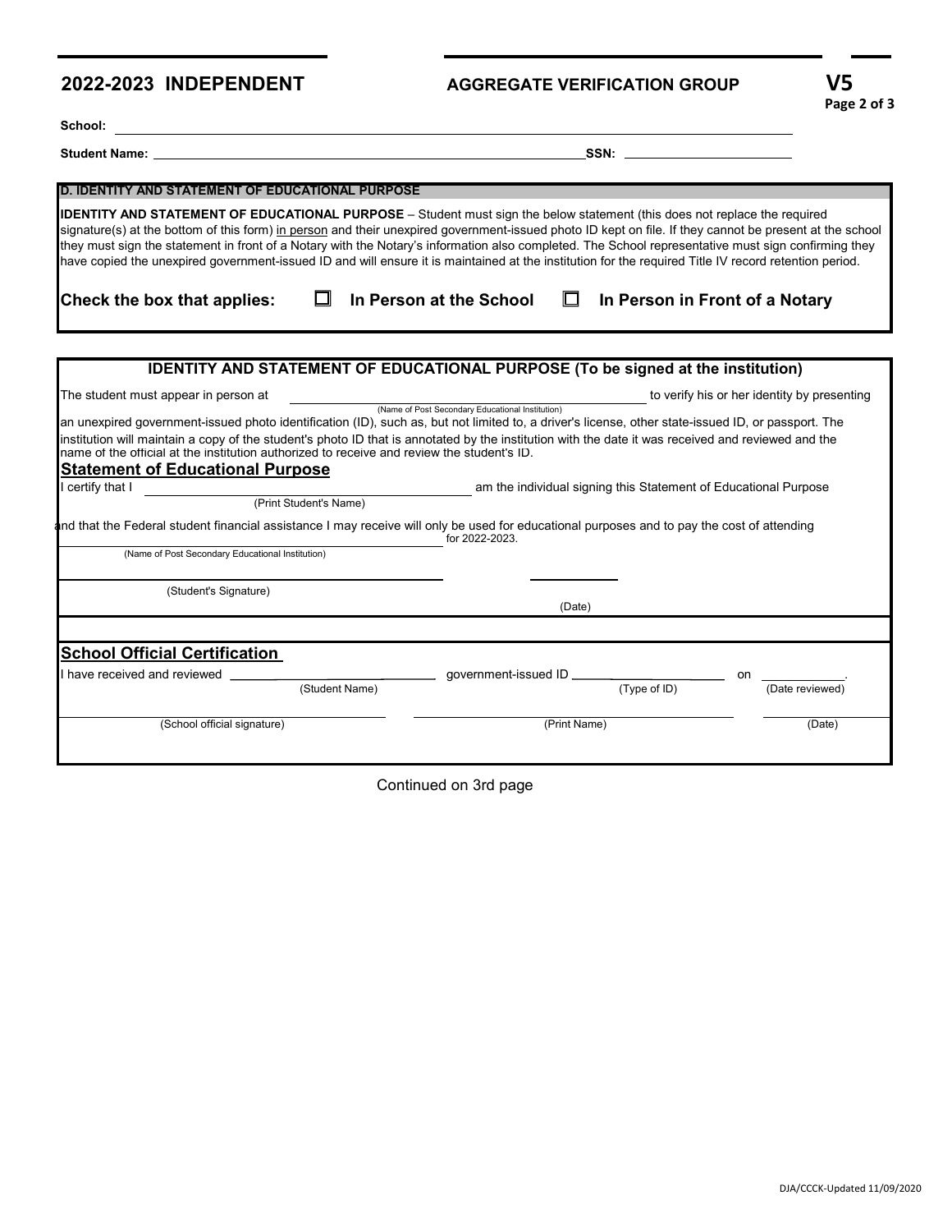#### **2022-2023 INDEPENDENT**

<u> 1980 - Johann Barn, mars ann an t-Amhain Aonaich an t-Aonaich an t-Aonaich ann an t-Aonaich ann an t-Aonaich</u>

# **AGGREGATE VERIFICATION GROUP V5**

School: \_

**Student Name: SSN:**

| <b>D. IDENTITY AND STATEMENT OF EDUCATIONAL PURPOSE</b>                                                                                                                                                                                                                                                                                                                                                                                                                                                                                                                                                                                                                                          |                                                  |                                                                 |                                             |
|--------------------------------------------------------------------------------------------------------------------------------------------------------------------------------------------------------------------------------------------------------------------------------------------------------------------------------------------------------------------------------------------------------------------------------------------------------------------------------------------------------------------------------------------------------------------------------------------------------------------------------------------------------------------------------------------------|--------------------------------------------------|-----------------------------------------------------------------|---------------------------------------------|
| <b>IDENTITY AND STATEMENT OF EDUCATIONAL PURPOSE</b> - Student must sign the below statement (this does not replace the required<br>signature(s) at the bottom of this form) in person and their unexpired government-issued photo ID kept on file. If they cannot be present at the school<br>they must sign the statement in front of a Notary with the Notary's information also completed. The School representative must sign confirming they<br>have copied the unexpired government-issued ID and will ensure it is maintained at the institution for the required Title IV record retention period.                                                                                      |                                                  |                                                                 |                                             |
| Check the box that applies:                                                                                                                                                                                                                                                                                                                                                                                                                                                                                                                                                                                                                                                                      | In Person at the School<br>⊔                     | In Person in Front of a Notary                                  |                                             |
|                                                                                                                                                                                                                                                                                                                                                                                                                                                                                                                                                                                                                                                                                                  |                                                  |                                                                 |                                             |
| <b>IDENTITY AND STATEMENT OF EDUCATIONAL PURPOSE (To be signed at the institution)</b>                                                                                                                                                                                                                                                                                                                                                                                                                                                                                                                                                                                                           |                                                  |                                                                 |                                             |
| The student must appear in person at                                                                                                                                                                                                                                                                                                                                                                                                                                                                                                                                                                                                                                                             | (Name of Post Secondary Educational Institution) |                                                                 | to verify his or her identity by presenting |
| an unexpired government-issued photo identification (ID), such as, but not limited to, a driver's license, other state-issued ID, or passport. The<br>institution will maintain a copy of the student's photo ID that is annotated by the institution with the date it was received and reviewed and the<br>name of the official at the institution authorized to receive and review the student's ID.<br><b>Statement of Educational Purpose</b><br>certify that I<br>(Print Student's Name)<br>and that the Federal student financial assistance I may receive will only be used for educational purposes and to pay the cost of attending<br>(Name of Post Secondary Educational Institution) | for 2022-2023.                                   | am the individual signing this Statement of Educational Purpose |                                             |
| (Student's Signature)                                                                                                                                                                                                                                                                                                                                                                                                                                                                                                                                                                                                                                                                            | (Date)                                           |                                                                 |                                             |
| <b>School Official Certification</b>                                                                                                                                                                                                                                                                                                                                                                                                                                                                                                                                                                                                                                                             |                                                  |                                                                 |                                             |
| have received and reviewed<br>(Student Name)                                                                                                                                                                                                                                                                                                                                                                                                                                                                                                                                                                                                                                                     | aovernment-issued ID _                           | (Type of ID)                                                    | on<br>(Date reviewed)                       |
| (School official signature)                                                                                                                                                                                                                                                                                                                                                                                                                                                                                                                                                                                                                                                                      | (Print Name)                                     |                                                                 | (Date)                                      |

Continued on 3rd page